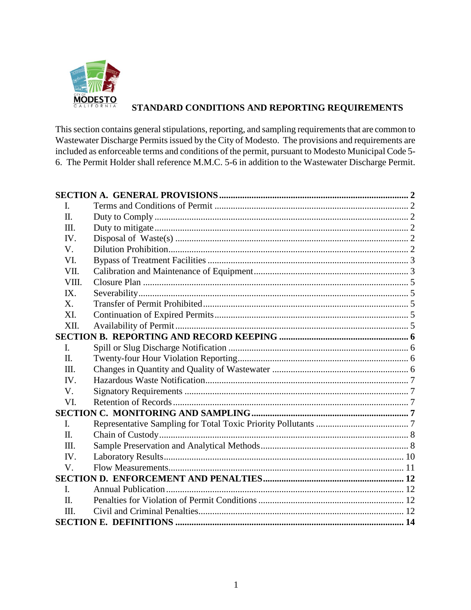

# **STANDARD CONDITIONS AND REPORTING REQUIREMENTS**

This section contains general stipulations, reporting, and sampling requirements that are common to Wastewater Discharge Permits issued by the City of Modesto. The provisions and requirements are included as enforceable terms and conditions of the permit, pursuant to Modesto Municipal Code 5- 6. The Permit Holder shall reference M.M.C. 5-6 in addition to the Wastewater Discharge Permit.

| I.          |  |  |  |  |
|-------------|--|--|--|--|
| Π.          |  |  |  |  |
| Ш.          |  |  |  |  |
| IV.         |  |  |  |  |
| V.          |  |  |  |  |
| VI.         |  |  |  |  |
| VII.        |  |  |  |  |
| VIII.       |  |  |  |  |
| IX.         |  |  |  |  |
| X.          |  |  |  |  |
| XI.         |  |  |  |  |
| XII.        |  |  |  |  |
|             |  |  |  |  |
| I.          |  |  |  |  |
| Π.          |  |  |  |  |
| Ш.          |  |  |  |  |
| IV.         |  |  |  |  |
| V.          |  |  |  |  |
| VI.         |  |  |  |  |
|             |  |  |  |  |
| L.          |  |  |  |  |
| $\Pi$ .     |  |  |  |  |
| III.        |  |  |  |  |
| IV.         |  |  |  |  |
| $V_{\cdot}$ |  |  |  |  |
|             |  |  |  |  |
| I.          |  |  |  |  |
| $\Pi$ .     |  |  |  |  |
| Ш.          |  |  |  |  |
|             |  |  |  |  |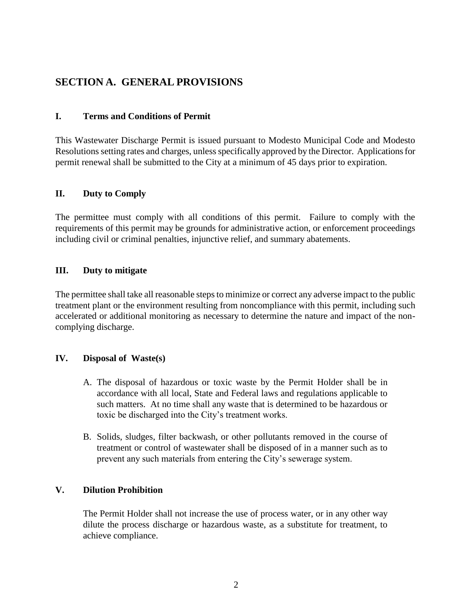# <span id="page-1-0"></span>**SECTION A. GENERAL PROVISIONS**

#### <span id="page-1-1"></span>**I. Terms and Conditions of Permit**

This Wastewater Discharge Permit is issued pursuant to Modesto Municipal Code and Modesto Resolutions setting rates and charges, unless specifically approved by the Director. Applications for permit renewal shall be submitted to the City at a minimum of 45 days prior to expiration.

#### <span id="page-1-2"></span>**II. Duty to Comply**

The permittee must comply with all conditions of this permit. Failure to comply with the requirements of this permit may be grounds for administrative action, or enforcement proceedings including civil or criminal penalties, injunctive relief, and summary abatements.

#### <span id="page-1-3"></span>**III. Duty to mitigate**

The permittee shall take all reasonable steps to minimize or correct any adverse impact to the public treatment plant or the environment resulting from noncompliance with this permit, including such accelerated or additional monitoring as necessary to determine the nature and impact of the noncomplying discharge.

#### <span id="page-1-4"></span>**IV. Disposal of Waste(s)**

- A. The disposal of hazardous or toxic waste by the Permit Holder shall be in accordance with all local, State and Federal laws and regulations applicable to such matters. At no time shall any waste that is determined to be hazardous or toxic be discharged into the City's treatment works.
- B. Solids, sludges, filter backwash, or other pollutants removed in the course of treatment or control of wastewater shall be disposed of in a manner such as to prevent any such materials from entering the City's sewerage system.

#### <span id="page-1-5"></span>**V. Dilution Prohibition**

The Permit Holder shall not increase the use of process water, or in any other way dilute the process discharge or hazardous waste, as a substitute for treatment, to achieve compliance.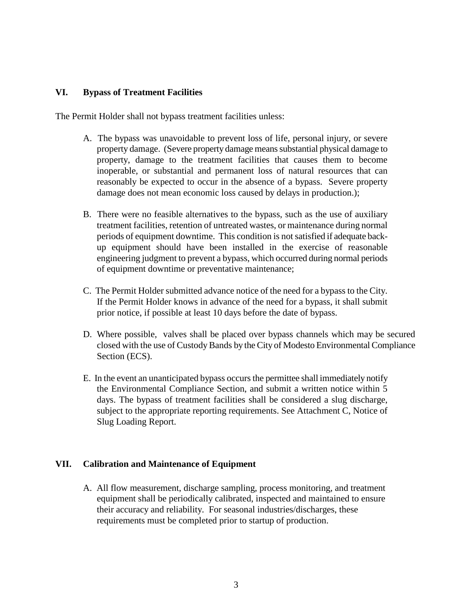#### <span id="page-2-0"></span>**VI. Bypass of Treatment Facilities**

The Permit Holder shall not bypass treatment facilities unless:

- A. The bypass was unavoidable to prevent loss of life, personal injury, or severe property damage. (Severe property damage means substantial physical damage to property, damage to the treatment facilities that causes them to become inoperable, or substantial and permanent loss of natural resources that can reasonably be expected to occur in the absence of a bypass. Severe property damage does not mean economic loss caused by delays in production.);
- B. There were no feasible alternatives to the bypass, such as the use of auxiliary treatment facilities, retention of untreated wastes, or maintenance during normal periods of equipment downtime. This condition is not satisfied if adequate backup equipment should have been installed in the exercise of reasonable engineering judgment to prevent a bypass, which occurred during normal periods of equipment downtime or preventative maintenance;
- C. The Permit Holder submitted advance notice of the need for a bypass to the City. If the Permit Holder knows in advance of the need for a bypass, it shall submit prior notice, if possible at least 10 days before the date of bypass.
- D. Where possible, valves shall be placed over bypass channels which may be secured closed with the use of Custody Bands by the City of Modesto Environmental Compliance Section (ECS).
- E. In the event an unanticipated bypass occurs the permittee shall immediately notify the Environmental Compliance Section, and submit a written notice within 5 days. The bypass of treatment facilities shall be considered a slug discharge, subject to the appropriate reporting requirements. See Attachment C, Notice of Slug Loading Report.

#### <span id="page-2-1"></span>**VII. Calibration and Maintenance of Equipment**

A. All flow measurement, discharge sampling, process monitoring, and treatment equipment shall be periodically calibrated, inspected and maintained to ensure their accuracy and reliability. For seasonal industries/discharges, these requirements must be completed prior to startup of production.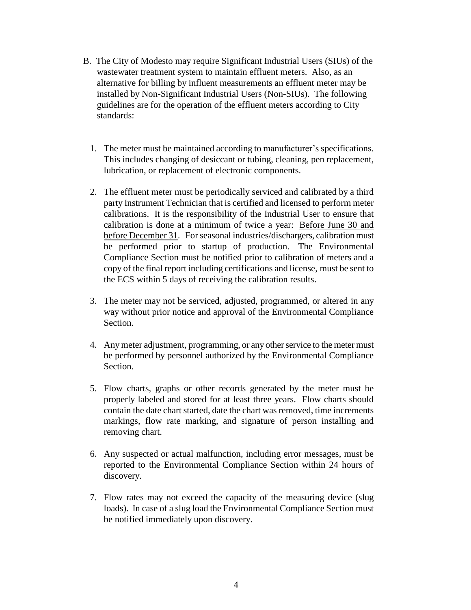- B. The City of Modesto may require Significant Industrial Users (SIUs) of the wastewater treatment system to maintain effluent meters. Also, as an alternative for billing by influent measurements an effluent meter may be installed by Non-Significant Industrial Users (Non-SIUs). The following guidelines are for the operation of the effluent meters according to City standards:
	- 1. The meter must be maintained according to manufacturer's specifications. This includes changing of desiccant or tubing, cleaning, pen replacement, lubrication, or replacement of electronic components.
	- 2. The effluent meter must be periodically serviced and calibrated by a third party Instrument Technician that is certified and licensed to perform meter calibrations. It is the responsibility of the Industrial User to ensure that calibration is done at a minimum of twice a year: Before June 30 and before December 31. For seasonal industries/dischargers, calibration must be performed prior to startup of production. The Environmental Compliance Section must be notified prior to calibration of meters and a copy of the final report including certifications and license, must be sent to the ECS within 5 days of receiving the calibration results.
	- 3. The meter may not be serviced, adjusted, programmed, or altered in any way without prior notice and approval of the Environmental Compliance Section.
	- 4. Any meter adjustment, programming, or any other service to the meter must be performed by personnel authorized by the Environmental Compliance Section.
	- 5. Flow charts, graphs or other records generated by the meter must be properly labeled and stored for at least three years. Flow charts should contain the date chart started, date the chart was removed, time increments markings, flow rate marking, and signature of person installing and removing chart.
	- 6. Any suspected or actual malfunction, including error messages, must be reported to the Environmental Compliance Section within 24 hours of discovery.
	- 7. Flow rates may not exceed the capacity of the measuring device (slug loads). In case of a slug load the Environmental Compliance Section must be notified immediately upon discovery.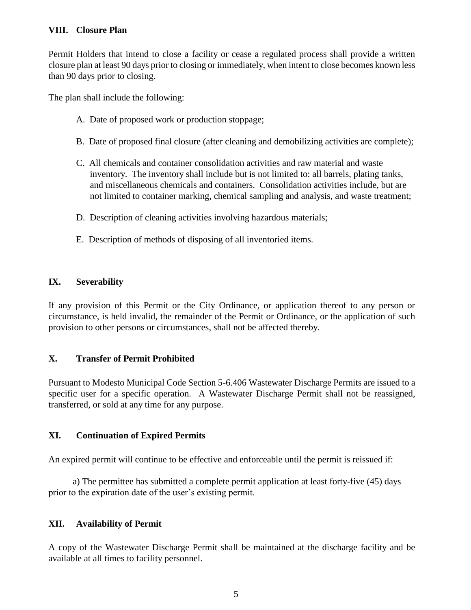### <span id="page-4-0"></span>**VIII. Closure Plan**

Permit Holders that intend to close a facility or cease a regulated process shall provide a written closure plan at least 90 days prior to closing or immediately, when intent to close becomes known less than 90 days prior to closing.

The plan shall include the following:

- A. Date of proposed work or production stoppage;
- B. Date of proposed final closure (after cleaning and demobilizing activities are complete);
- C. All chemicals and container consolidation activities and raw material and waste inventory. The inventory shall include but is not limited to: all barrels, plating tanks, and miscellaneous chemicals and containers. Consolidation activities include, but are not limited to container marking, chemical sampling and analysis, and waste treatment;
- D. Description of cleaning activities involving hazardous materials;
- E. Description of methods of disposing of all inventoried items.

# <span id="page-4-1"></span>**IX. Severability**

If any provision of this Permit or the City Ordinance, or application thereof to any person or circumstance, is held invalid, the remainder of the Permit or Ordinance, or the application of such provision to other persons or circumstances, shall not be affected thereby.

# <span id="page-4-2"></span>**X. Transfer of Permit Prohibited**

Pursuant to Modesto Municipal Code Section 5-6.406 Wastewater Discharge Permits are issued to a specific user for a specific operation. A Wastewater Discharge Permit shall not be reassigned, transferred, or sold at any time for any purpose.

### <span id="page-4-3"></span>**XI. Continuation of Expired Permits**

An expired permit will continue to be effective and enforceable until the permit is reissued if:

a) The permittee has submitted a complete permit application at least forty-five (45) days prior to the expiration date of the user's existing permit.

# <span id="page-4-4"></span>**XII. Availability of Permit**

A copy of the Wastewater Discharge Permit shall be maintained at the discharge facility and be available at all times to facility personnel.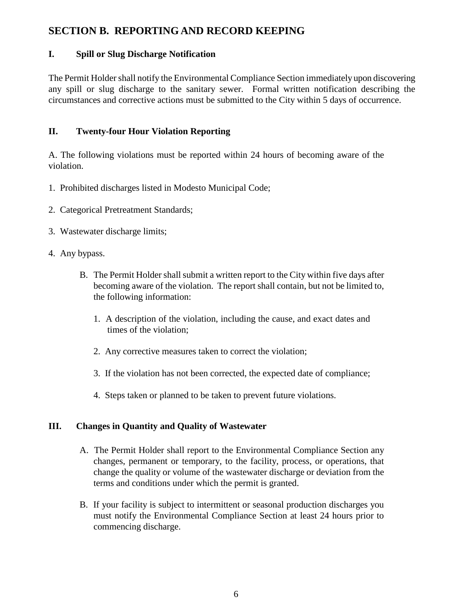# <span id="page-5-0"></span>**SECTION B. REPORTING AND RECORD KEEPING**

### <span id="page-5-1"></span>**I. Spill or Slug Discharge Notification**

The Permit Holder shall notify the Environmental Compliance Section immediately upon discovering any spill or slug discharge to the sanitary sewer. Formal written notification describing the circumstances and corrective actions must be submitted to the City within 5 days of occurrence.

### <span id="page-5-2"></span>**II. Twenty-four Hour Violation Reporting**

A. The following violations must be reported within 24 hours of becoming aware of the violation.

- 1. Prohibited discharges listed in Modesto Municipal Code;
- 2. Categorical Pretreatment Standards;
- 3. Wastewater discharge limits;
- 4. Any bypass.
	- B. The Permit Holder shall submit a written report to the City within five days after becoming aware of the violation. The report shall contain, but not be limited to, the following information:
		- 1. A description of the violation, including the cause, and exact dates and times of the violation;
		- 2. Any corrective measures taken to correct the violation;
		- 3. If the violation has not been corrected, the expected date of compliance;
		- 4. Steps taken or planned to be taken to prevent future violations.

# <span id="page-5-3"></span>**III. Changes in Quantity and Quality of Wastewater**

- A. The Permit Holder shall report to the Environmental Compliance Section any changes, permanent or temporary, to the facility, process, or operations, that change the quality or volume of the wastewater discharge or deviation from the terms and conditions under which the permit is granted.
- B. If your facility is subject to intermittent or seasonal production discharges you must notify the Environmental Compliance Section at least 24 hours prior to commencing discharge.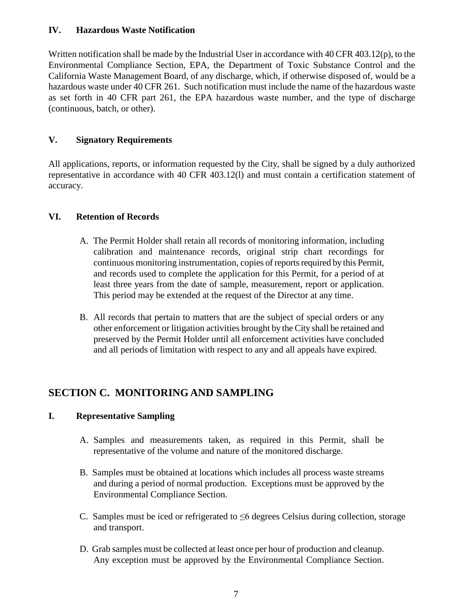### <span id="page-6-0"></span>**IV. Hazardous Waste Notification**

Written notification shall be made by the Industrial User in accordance with 40 CFR 403.12(p), to the Environmental Compliance Section, EPA, the Department of Toxic Substance Control and the California Waste Management Board, of any discharge, which, if otherwise disposed of, would be a hazardous waste under 40 CFR 261. Such notification must include the name of the hazardous waste as set forth in 40 CFR part 261, the EPA hazardous waste number, and the type of discharge (continuous, batch, or other).

# <span id="page-6-1"></span>**V. Signatory Requirements**

All applications, reports, or information requested by the City, shall be signed by a duly authorized representative in accordance with 40 CFR 403.12(l) and must contain a certification statement of accuracy.

# <span id="page-6-2"></span>**VI. Retention of Records**

- A. The Permit Holder shall retain all records of monitoring information, including calibration and maintenance records, original strip chart recordings for continuous monitoring instrumentation, copies of reports required by this Permit, and records used to complete the application for this Permit, for a period of at least three years from the date of sample, measurement, report or application. This period may be extended at the request of the Director at any time.
- B. All records that pertain to matters that are the subject of special orders or any other enforcement or litigation activities brought by the City shall be retained and preserved by the Permit Holder until all enforcement activities have concluded and all periods of limitation with respect to any and all appeals have expired.

# <span id="page-6-3"></span>**SECTION C. MONITORING AND SAMPLING**

# <span id="page-6-4"></span>**I. Representative Sampling**

- A. Samples and measurements taken, as required in this Permit, shall be representative of the volume and nature of the monitored discharge.
- B. Samples must be obtained at locations which includes all process waste streams and during a period of normal production. Exceptions must be approved by the Environmental Compliance Section.
- C. Samples must be iced or refrigerated to  $\leq 6$  degrees Celsius during collection, storage and transport.
- D. Grab samples must be collected at least once per hour of production and cleanup. Any exception must be approved by the Environmental Compliance Section.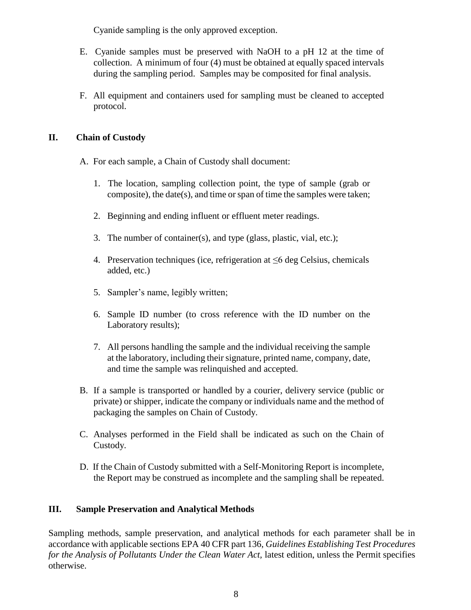Cyanide sampling is the only approved exception.

- E. Cyanide samples must be preserved with NaOH to a pH 12 at the time of collection. A minimum of four (4) must be obtained at equally spaced intervals during the sampling period. Samples may be composited for final analysis.
- F. All equipment and containers used for sampling must be cleaned to accepted protocol.

## <span id="page-7-0"></span>**II. Chain of Custody**

- A. For each sample, a Chain of Custody shall document:
	- 1. The location, sampling collection point, the type of sample (grab or composite), the date(s), and time or span of time the samples were taken;
	- 2. Beginning and ending influent or effluent meter readings.
	- 3. The number of container(s), and type (glass, plastic, vial, etc.);
	- 4. Preservation techniques (ice, refrigeration at ≤6 deg Celsius, chemicals added, etc.)
	- 5. Sampler's name, legibly written;
	- 6. Sample ID number (to cross reference with the ID number on the Laboratory results);
	- 7. All persons handling the sample and the individual receiving the sample at the laboratory, including their signature, printed name, company, date, and time the sample was relinquished and accepted.
- B. If a sample is transported or handled by a courier, delivery service (public or private) or shipper, indicate the company or individuals name and the method of packaging the samples on Chain of Custody.
- C. Analyses performed in the Field shall be indicated as such on the Chain of Custody.
- D. If the Chain of Custody submitted with a Self-Monitoring Report is incomplete, the Report may be construed as incomplete and the sampling shall be repeated.

### <span id="page-7-1"></span>**III. Sample Preservation and Analytical Methods**

Sampling methods, sample preservation, and analytical methods for each parameter shall be in accordance with applicable sections EPA 40 CFR part 136, *Guidelines Establishing Test Procedures for the Analysis of Pollutants Under the Clean Water Act,* latest edition, unless the Permit specifies otherwise.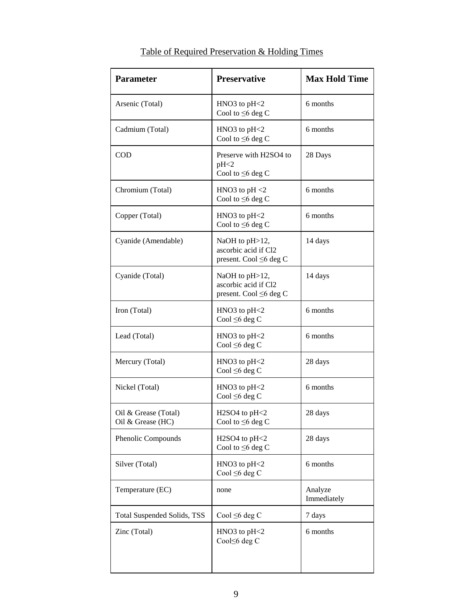| <b>Parameter</b>                          | <b>Preservative</b>                                              | <b>Max Hold Time</b>   |
|-------------------------------------------|------------------------------------------------------------------|------------------------|
| Arsenic (Total)                           | $HNO3$ to $pH<2$<br>Cool to $\leq 6$ deg C                       | 6 months               |
| Cadmium (Total)                           | $HNO3$ to $pH<2$<br>Cool to $\leq 6$ deg C                       | 6 months               |
| <b>COD</b>                                | Preserve with H2SO4 to<br>pH<2<br>Cool to $\leq 6$ deg C         | 28 Days                |
| Chromium (Total)                          | HNO3 to $pH < 2$<br>Cool to $\leq 6$ deg C                       | 6 months               |
| Copper (Total)                            | $HNO3$ to $pH<2$<br>Cool to $\leq 6$ deg C                       | 6 months               |
| Cyanide (Amendable)                       | NaOH to pH>12,<br>ascorbic acid if Cl2<br>present. Cool ≤6 deg C | 14 days                |
| Cyanide (Total)                           | NaOH to pH>12,<br>ascorbic acid if Cl2<br>present. Cool ≤6 deg C | 14 days                |
| Iron (Total)                              | $HNO3$ to $pH<2$<br>Cool $\leq 6$ deg C                          | 6 months               |
| Lead (Total)                              | HNO3 to $pH<2$<br>Cool $\leq 6$ deg C                            | 6 months               |
| Mercury (Total)                           | $HNO3$ to $pH<2$<br>Cool $\leq 6$ deg C                          | 28 days                |
| Nickel (Total)                            | $HNO3$ to $pH<2$<br>Cool $\leq 6$ deg C                          | 6 months               |
| Oil & Grease (Total)<br>Oil & Grease (HC) | $H2SO4$ to $pH<2$<br>Cool to $\leq 6$ deg C                      | 28 days                |
| Phenolic Compounds                        | H2SO4 to pH<2<br>Cool to $\leq 6$ deg C                          | 28 days                |
| Silver (Total)                            | $HNO3$ to $pH<2$<br>Cool $\leq 6$ deg C                          | 6 months               |
| Temperature (EC)                          | none                                                             | Analyze<br>Immediately |
| Total Suspended Solids, TSS               | Cool $\leq 6$ deg C                                              | 7 days                 |
| Zinc (Total)                              | $HNO3$ to $pH<2$<br>Cool≤6 deg C                                 | 6 months               |

# Table of Required Preservation & Holding Times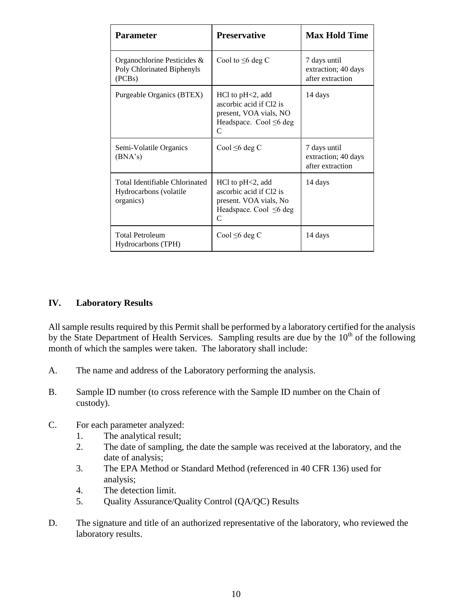| <b>Parameter</b>                                                      | <b>Preservative</b>                                                                                                        | <b>Max Hold Time</b>                                    |
|-----------------------------------------------------------------------|----------------------------------------------------------------------------------------------------------------------------|---------------------------------------------------------|
| Organochlorine Pesticides &<br>Poly Chlorinated Biphenyls<br>(PCBs)   | Cool to $\leq 6$ deg C                                                                                                     | 7 days until<br>extraction; 40 days<br>after extraction |
| Purgeable Organics (BTEX)                                             | $HC1$ to $pH2$ , add<br>ascorbic acid if Cl2 is<br>present, VOA vials, NO<br>Headspace. Cool $\leq 6$ deg<br>C             | 14 days                                                 |
| Semi-Volatile Organics<br>(BNA's)                                     | Cool $\leq 6$ deg C                                                                                                        | 7 days until<br>extraction; 40 days<br>after extraction |
| Total Identifiable Chlorinated<br>Hydrocarbons (volatile<br>organics) | $HC1$ to $pH2$ , add<br>ascorbic acid if Cl2 is<br>present. VOA vials, No<br>Headspace. Cool $\leq 6$ deg<br>$\mathcal{C}$ | 14 days                                                 |
| <b>Total Petroleum</b><br>Hydrocarbons (TPH)                          | Cool $\leq 6$ deg C                                                                                                        | 14 days                                                 |

#### <span id="page-9-0"></span>**IV. Laboratory Results**

All sample results required by this Permit shall be performed by a laboratory certified for the analysis by the State Department of Health Services. Sampling results are due by the 10<sup>th</sup> of the following month of which the samples were taken. The laboratory shall include:

- A. The name and address of the Laboratory performing the analysis.
- B. Sample ID number (to cross reference with the Sample ID number on the Chain of custody).
- C. For each parameter analyzed:
	- 1. The analytical result;
	- 2. The date of sampling, the date the sample was received at the laboratory, and the date of analysis;
	- 3. The EPA Method or Standard Method (referenced in 40 CFR 136) used for analysis;
	- 4. The detection limit.
	- 5. Quality Assurance/Quality Control (QA/QC) Results
- D. The signature and title of an authorized representative of the laboratory, who reviewed the laboratory results.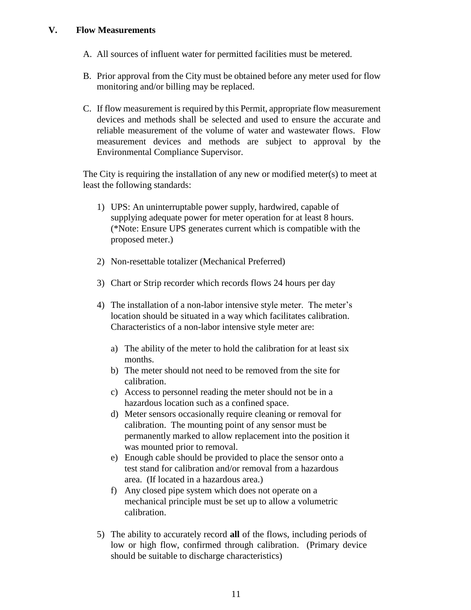#### <span id="page-10-0"></span>**V. Flow Measurements**

- A. All sources of influent water for permitted facilities must be metered.
- B. Prior approval from the City must be obtained before any meter used for flow monitoring and/or billing may be replaced.
- C. If flow measurement is required by this Permit, appropriate flow measurement devices and methods shall be selected and used to ensure the accurate and reliable measurement of the volume of water and wastewater flows. Flow measurement devices and methods are subject to approval by the Environmental Compliance Supervisor.

The City is requiring the installation of any new or modified meter(s) to meet at least the following standards:

- 1) UPS: An uninterruptable power supply, hardwired, capable of supplying adequate power for meter operation for at least 8 hours. (\*Note: Ensure UPS generates current which is compatible with the proposed meter.)
- 2) Non-resettable totalizer (Mechanical Preferred)
- 3) Chart or Strip recorder which records flows 24 hours per day
- 4) The installation of a non-labor intensive style meter. The meter's location should be situated in a way which facilitates calibration. Characteristics of a non-labor intensive style meter are:
	- a) The ability of the meter to hold the calibration for at least six months.
	- b) The meter should not need to be removed from the site for calibration.
	- c) Access to personnel reading the meter should not be in a hazardous location such as a confined space.
	- d) Meter sensors occasionally require cleaning or removal for calibration. The mounting point of any sensor must be permanently marked to allow replacement into the position it was mounted prior to removal.
	- e) Enough cable should be provided to place the sensor onto a test stand for calibration and/or removal from a hazardous area. (If located in a hazardous area.)
	- f) Any closed pipe system which does not operate on a mechanical principle must be set up to allow a volumetric calibration.
- 5) The ability to accurately record **all** of the flows, including periods of low or high flow, confirmed through calibration. (Primary device should be suitable to discharge characteristics)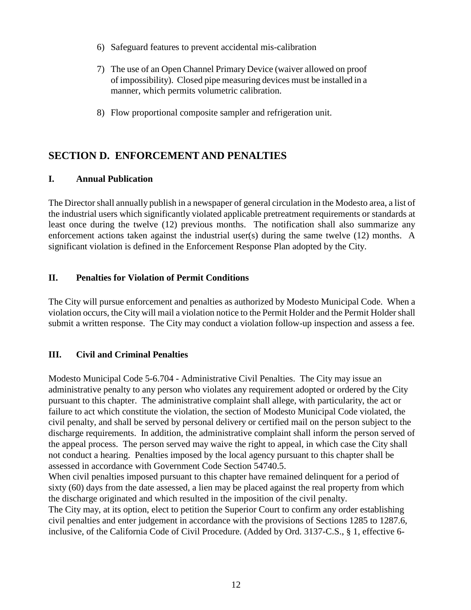- 6) Safeguard features to prevent accidental mis-calibration
- 7) The use of an Open Channel Primary Device (waiver allowed on proof of impossibility). Closed pipe measuring devices must be installed in a manner, which permits volumetric calibration.
- 8) Flow proportional composite sampler and refrigeration unit.

# <span id="page-11-0"></span>**SECTION D. ENFORCEMENT AND PENALTIES**

### <span id="page-11-1"></span>**I. Annual Publication**

The Director shall annually publish in a newspaper of general circulation in the Modesto area, a list of the industrial users which significantly violated applicable pretreatment requirements or standards at least once during the twelve (12) previous months. The notification shall also summarize any enforcement actions taken against the industrial user(s) during the same twelve (12) months. A significant violation is defined in the Enforcement Response Plan adopted by the City.

### <span id="page-11-2"></span>**II. Penalties for Violation of Permit Conditions**

The City will pursue enforcement and penalties as authorized by Modesto Municipal Code. When a violation occurs, the City will mail a violation notice to the Permit Holder and the Permit Holder shall submit a written response. The City may conduct a violation follow-up inspection and assess a fee.

### <span id="page-11-3"></span>**III. Civil and Criminal Penalties**

Modesto Municipal Code 5-6.704 - Administrative Civil Penalties. The City may issue an administrative penalty to any person who violates any requirement adopted or ordered by the City pursuant to this chapter. The administrative complaint shall allege, with particularity, the act or failure to act which constitute the violation, the section of Modesto Municipal Code violated, the civil penalty, and shall be served by personal delivery or certified mail on the person subject to the discharge requirements. In addition, the administrative complaint shall inform the person served of the appeal process. The person served may waive the right to appeal, in which case the City shall not conduct a hearing. Penalties imposed by the local agency pursuant to this chapter shall be assessed in accordance with Government Code Section 54740.5.

When civil penalties imposed pursuant to this chapter have remained delinquent for a period of sixty (60) days from the date assessed, a lien may be placed against the real property from which the discharge originated and which resulted in the imposition of the civil penalty.

The City may, at its option, elect to petition the Superior Court to confirm any order establishing civil penalties and enter judgement in accordance with the provisions of Sections 1285 to 1287.6, inclusive, of the California Code of Civil Procedure. (Added by Ord. 3137-C.S., § 1, effective 6-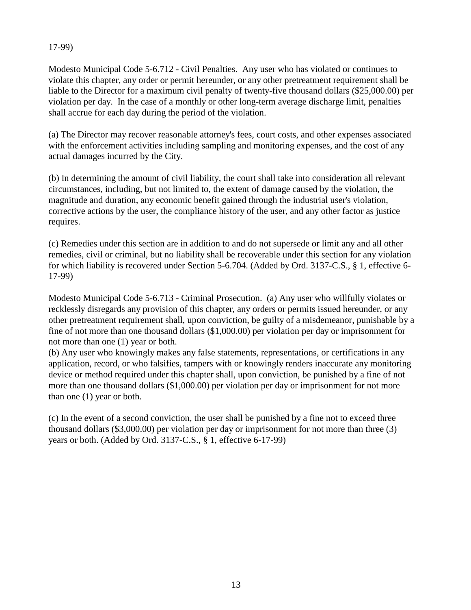### 17-99)

Modesto Municipal Code 5-6.712 - Civil Penalties. Any user who has violated or continues to violate this chapter, any order or permit hereunder, or any other pretreatment requirement shall be liable to the Director for a maximum civil penalty of twenty-five thousand dollars (\$25,000.00) per violation per day. In the case of a monthly or other long-term average discharge limit, penalties shall accrue for each day during the period of the violation.

(a) The Director may recover reasonable attorney's fees, court costs, and other expenses associated with the enforcement activities including sampling and monitoring expenses, and the cost of any actual damages incurred by the City.

(b) In determining the amount of civil liability, the court shall take into consideration all relevant circumstances, including, but not limited to, the extent of damage caused by the violation, the magnitude and duration, any economic benefit gained through the industrial user's violation, corrective actions by the user, the compliance history of the user, and any other factor as justice requires.

(c) Remedies under this section are in addition to and do not supersede or limit any and all other remedies, civil or criminal, but no liability shall be recoverable under this section for any violation for which liability is recovered under Section 5-6.704. (Added by Ord. 3137-C.S., § 1, effective 6- 17-99)

Modesto Municipal Code 5-6.713 - Criminal Prosecution. (a) Any user who willfully violates or recklessly disregards any provision of this chapter, any orders or permits issued hereunder, or any other pretreatment requirement shall, upon conviction, be guilty of a misdemeanor, punishable by a fine of not more than one thousand dollars (\$1,000.00) per violation per day or imprisonment for not more than one (1) year or both.

(b) Any user who knowingly makes any false statements, representations, or certifications in any application, record, or who falsifies, tampers with or knowingly renders inaccurate any monitoring device or method required under this chapter shall, upon conviction, be punished by a fine of not more than one thousand dollars (\$1,000.00) per violation per day or imprisonment for not more than one (1) year or both.

<span id="page-12-0"></span>(c) In the event of a second conviction, the user shall be punished by a fine not to exceed three thousand dollars (\$3,000.00) per violation per day or imprisonment for not more than three (3) years or both. (Added by Ord. 3137-C.S., § 1, effective 6-17-99)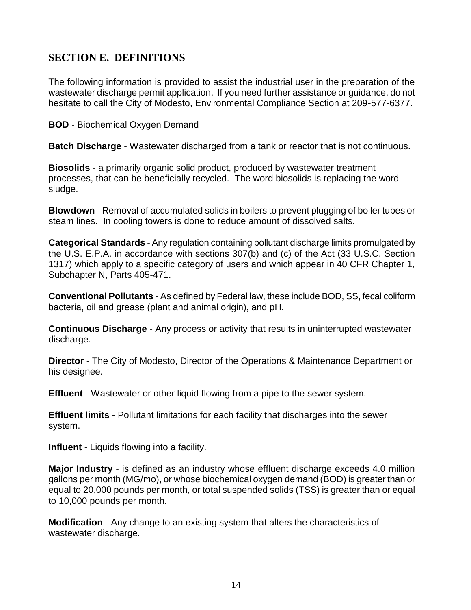# **SECTION E. DEFINITIONS**

The following information is provided to assist the industrial user in the preparation of the wastewater discharge permit application. If you need further assistance or guidance, do not hesitate to call the City of Modesto, Environmental Compliance Section at 209-577-6377.

**BOD** - Biochemical Oxygen Demand

**Batch Discharge** - Wastewater discharged from a tank or reactor that is not continuous.

**Biosolids** - a primarily organic solid product, produced by wastewater treatment processes, that can be beneficially recycled. The word biosolids is replacing the word sludge.

**Blowdown** - Removal of accumulated solids in boilers to prevent plugging of boiler tubes or steam lines. In cooling towers is done to reduce amount of dissolved salts.

**Categorical Standards** - Any regulation containing pollutant discharge limits promulgated by the U.S. E.P.A. in accordance with sections 307(b) and (c) of the Act (33 U.S.C. Section 1317) which apply to a specific category of users and which appear in 40 CFR Chapter 1, Subchapter N, Parts 405-471.

**Conventional Pollutants** - As defined by Federal law, these include BOD, SS, fecal coliform bacteria, oil and grease (plant and animal origin), and pH.

**Continuous Discharge** - Any process or activity that results in uninterrupted wastewater discharge.

**Director** - The City of Modesto, Director of the Operations & Maintenance Department or his designee.

**Effluent** - Wastewater or other liquid flowing from a pipe to the sewer system.

**Effluent limits** - Pollutant limitations for each facility that discharges into the sewer system.

**Influent** - Liquids flowing into a facility.

**Major Industry** - is defined as an industry whose effluent discharge exceeds 4.0 million gallons per month (MG/mo), or whose biochemical oxygen demand (BOD) is greater than or equal to 20,000 pounds per month, or total suspended solids (TSS) is greater than or equal to 10,000 pounds per month.

**Modification** - Any change to an existing system that alters the characteristics of wastewater discharge.